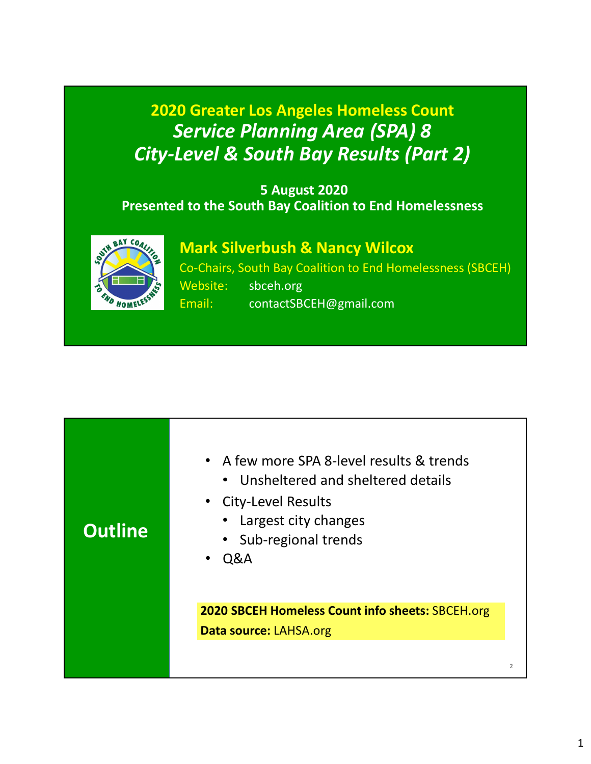# 2020 Greater Los Angeles Homeless Count Service Planning Area (SPA) 8 City-Level & South Bay Results (Part 2)

### 5 August 2020 Presented to the South Bay Coalition to End Homelessness



Mark Silverbush & Nancy Wilcox

Co-Chairs, South Bay Coalition to End Homelessness (SBCEH) Website: sbceh.org Email: contactSBCEH@gmail.com

| 2020 SBCEH Homeless Count info sheets: SBCEH.org<br>Data source: LAHSA.org | <b>Outline</b> | • A few more SPA 8-level results & trends<br>• Unsheltered and sheltered details<br>• City-Level Results<br>• Largest city changes<br>• Sub-regional trends<br>$\cdot$ Q&A |  |
|----------------------------------------------------------------------------|----------------|----------------------------------------------------------------------------------------------------------------------------------------------------------------------------|--|
|                                                                            |                |                                                                                                                                                                            |  |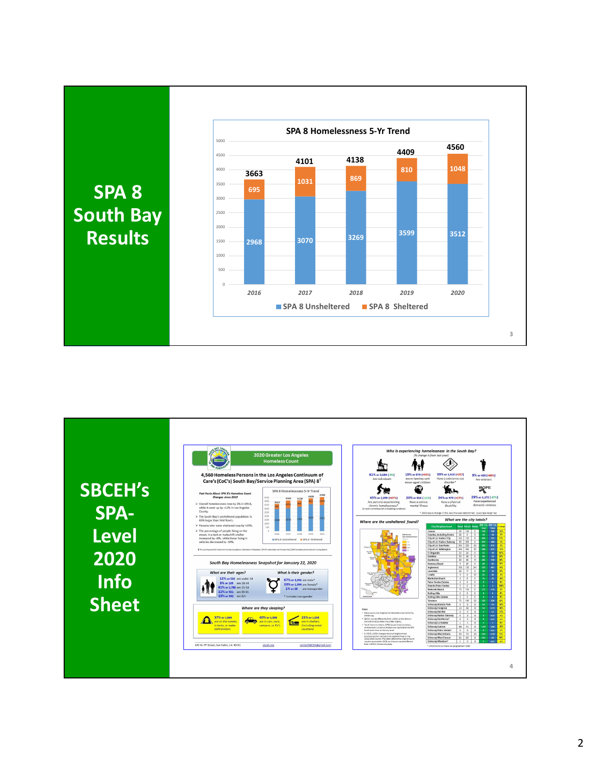

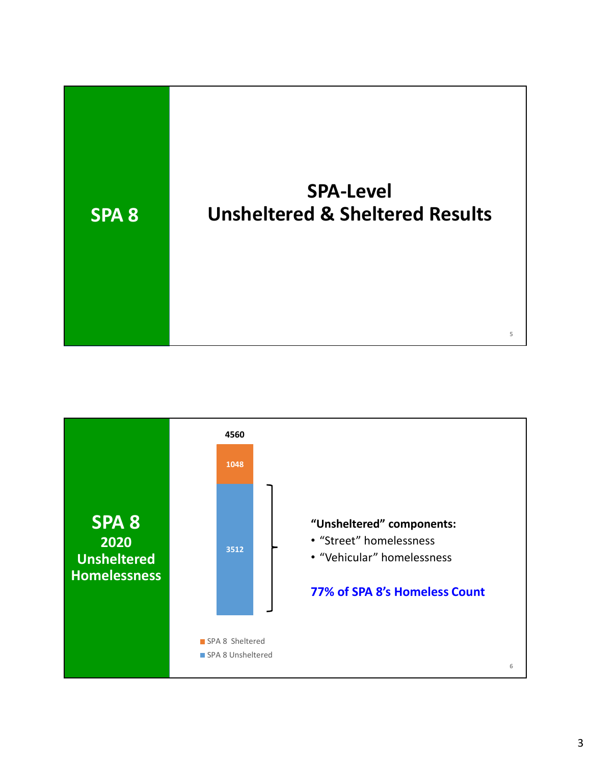

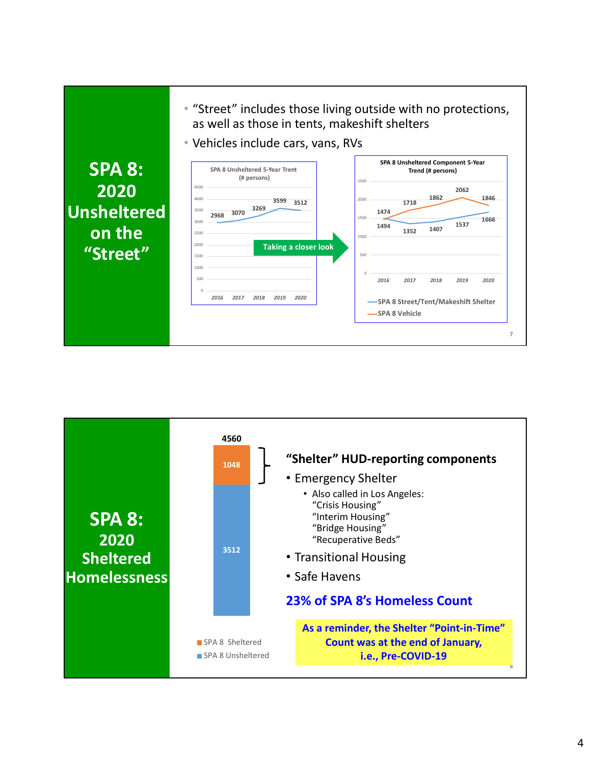



#### 4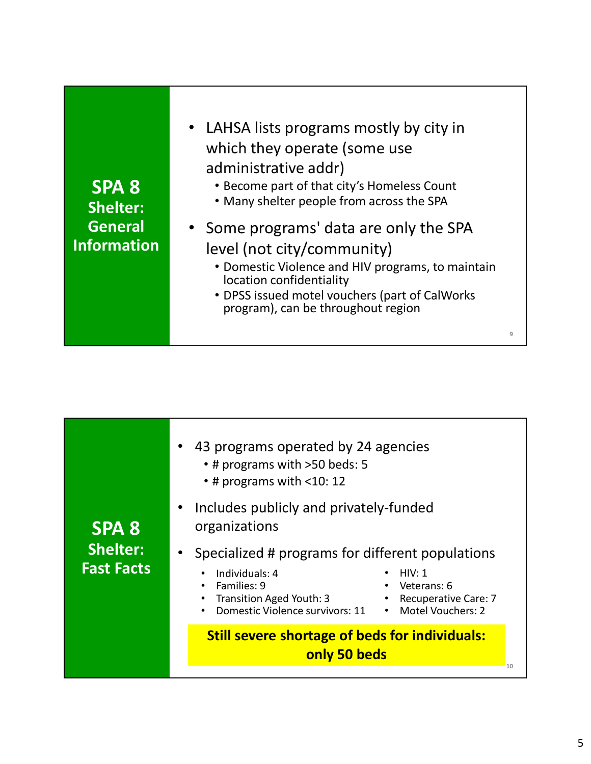| • LAHSA lists programs mostly by city in<br>which they operate (some use<br>administrative addr)<br>• Become part of that city's Homeless Count<br>SPA <sub>8</sub><br>• Many shelter people from across the SPA<br><b>Shelter:</b><br><b>General</b><br>• Some programs' data are only the SPA<br><b>Information</b><br>level (not city/community)<br>• Domestic Violence and HIV programs, to maintain<br>location confidentiality<br>• DPSS issued motel vouchers (part of CalWorks<br>program), can be throughout region<br>9 |
|-----------------------------------------------------------------------------------------------------------------------------------------------------------------------------------------------------------------------------------------------------------------------------------------------------------------------------------------------------------------------------------------------------------------------------------------------------------------------------------------------------------------------------------|
|-----------------------------------------------------------------------------------------------------------------------------------------------------------------------------------------------------------------------------------------------------------------------------------------------------------------------------------------------------------------------------------------------------------------------------------------------------------------------------------------------------------------------------------|

|                                                      | 43 programs operated by 24 agencies<br>• # programs with >50 beds: 5<br>$\cdot$ # programs with <10: 12                                                                                                                                                                                              |  |
|------------------------------------------------------|------------------------------------------------------------------------------------------------------------------------------------------------------------------------------------------------------------------------------------------------------------------------------------------------------|--|
| <b>SPA 8</b><br><b>Shelter:</b><br><b>Fast Facts</b> | Includes publicly and privately-funded<br>organizations<br>Specialized # programs for different populations<br>Individuals: 4<br><b>HIV: 1</b><br>Families: 9<br>$\cdot$ Veterans: 6<br>Transition Aged Youth: 3<br>• Recuperative Care: 7<br>Domestic Violence survivors: 11<br>• Motel Vouchers: 2 |  |
|                                                      | <b>Still severe shortage of beds for individuals:</b><br>only 50 beds                                                                                                                                                                                                                                |  |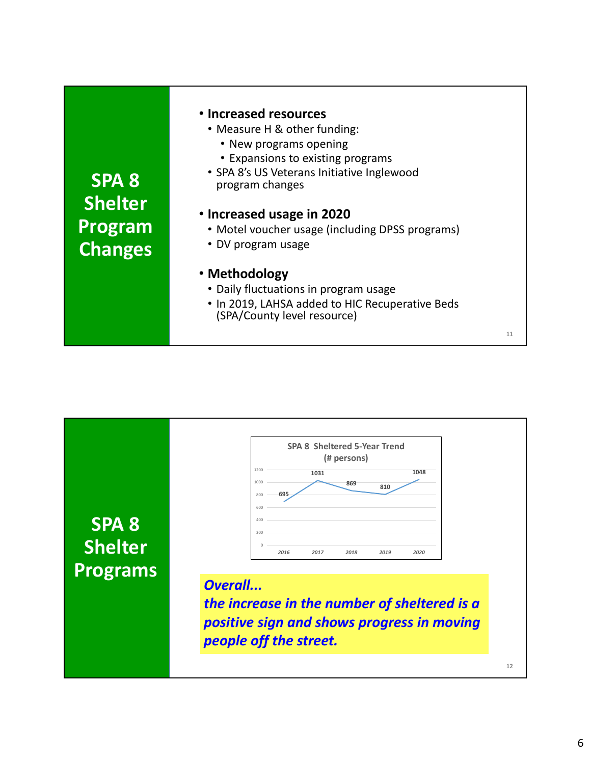|                  | • Increased resources                                         |    |
|------------------|---------------------------------------------------------------|----|
|                  | • Measure H & other funding:                                  |    |
|                  | • New programs opening                                        |    |
|                  | • Expansions to existing programs                             |    |
| SPA <sub>8</sub> | • SPA 8's US Veterans Initiative Inglewood<br>program changes |    |
| <b>Shelter</b>   |                                                               |    |
|                  | • Increased usage in 2020                                     |    |
| Program          | • Motel voucher usage (including DPSS programs)               |    |
| <b>Changes</b>   | • DV program usage                                            |    |
|                  | · Methodology                                                 |    |
|                  | • Daily fluctuations in program usage                         |    |
|                  | • In 2019, LAHSA added to HIC Recuperative Beds               |    |
|                  | (SPA/County level resource)                                   |    |
|                  |                                                               | 11 |

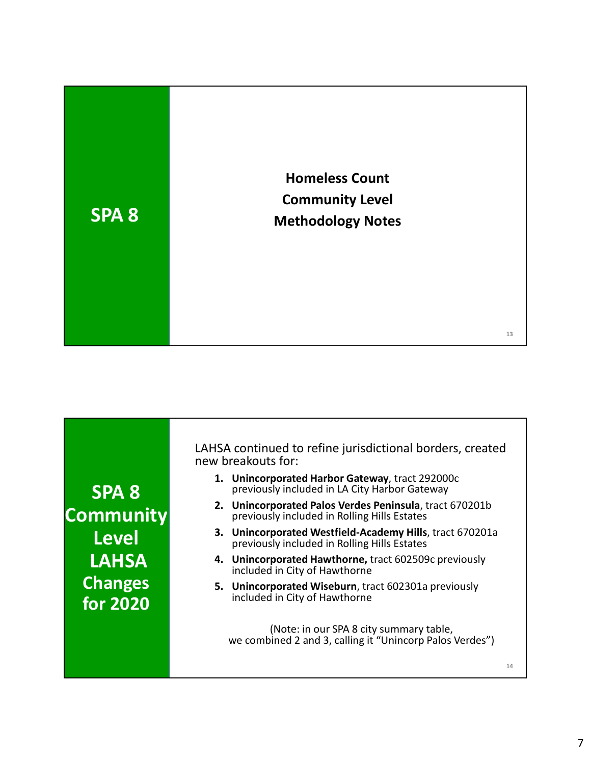

| <b>SPA 8</b>     | 1. | U       |
|------------------|----|---------|
| <b>Community</b> | 2. | Ū<br>p  |
| <b>Level</b>     | 3. | Ū<br>p  |
| <b>LAHSA</b>     | 4. | U<br>ir |
| <b>Changes</b>   | 5. | U<br>ir |
| for 2020         |    |         |

LAHSA continued to refine jurisdictional borders, created new breakouts for: SA continued to refine jurisdictional borders, created<br>v breakouts for:<br>1. Unincorporated Harbor Gateway, tract 292000c<br>previously included in LA City Harbor Gateway<br>2. Unincorporated Palos Verdes Peninsula, tract 670201b<br> Notational borders, created<br>
reakouts for:<br>
Unincorporated Harbor Gateway, tract 292000c<br>
previously included in LA City Harbor Gateway<br>
Unincorporated Palos Verdes Peninsula, tract 670201b<br>
previously included in Rolling

- previously included in LA City Harbor Gateway
- previously included in Rolling Hills Estates
- previously included in Rolling Hills Estates
- included in City of Hawthorne
- for 2020 **included in City of Hawthorne**

(Note: in our SPA 8 city summary table,<br>we combined 2 and 3, calling it "Unincorp Palos Verdes")

14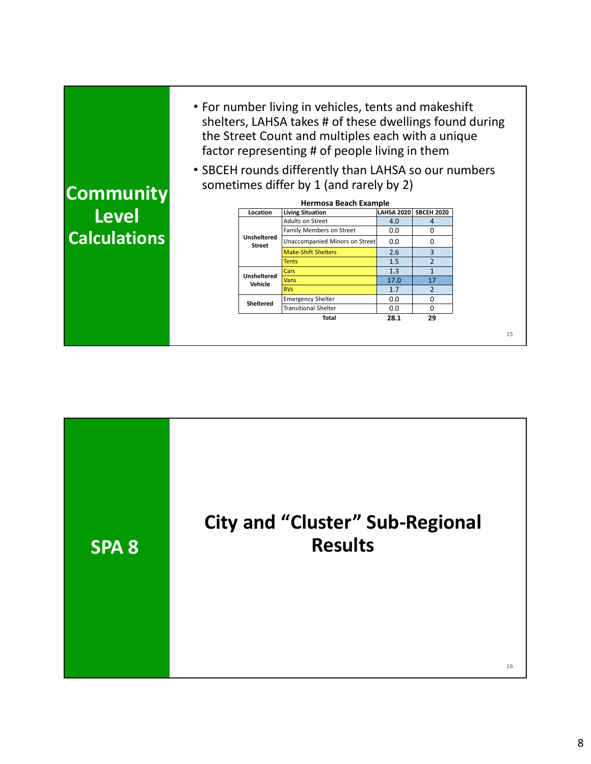| • For number living in vehicles, tents and makeshift<br>shelters, LAHSA takes # of these dwellings found during<br>the Street Count and multiples each with a unique<br>factor representing # of people living in them<br>• SBCEH rounds differently than LAHSA so our numbers<br>sometimes differ by 1 (and rarely by 2)<br><b>Hermosa Beach Example</b><br>Level<br>LAHSA 2020 SBCEH 2020<br><b>Living Situation</b><br>Location<br>Adults on Street<br>4.0<br>$\overline{4}$<br>0<br>Family Members on Street<br>0.0<br><b>Calculations</b><br>Unsheltered<br>Unaccompanied Minors on Street<br>0.0<br>0<br><b>Street</b><br>2.6<br>3<br><b>Make-Shift Shelters</b><br>$\overline{2}$<br>1.5<br><b>Tents</b><br>1.3<br>$\mathbf{1}$<br>Cars<br><b>Unsheltered</b> | 17.0<br>17<br>Vans<br>Vehicle<br><b>RVs</b><br>1.7<br>$\overline{2}$<br>$\mathbf 0$<br><b>Emergency Shelter</b><br>0.0<br><b>Sheltered</b><br>0<br>0.0<br><b>Transitional Shelter</b><br>29<br>28.1<br>Total |                  |  |  |  |
|----------------------------------------------------------------------------------------------------------------------------------------------------------------------------------------------------------------------------------------------------------------------------------------------------------------------------------------------------------------------------------------------------------------------------------------------------------------------------------------------------------------------------------------------------------------------------------------------------------------------------------------------------------------------------------------------------------------------------------------------------------------------|--------------------------------------------------------------------------------------------------------------------------------------------------------------------------------------------------------------|------------------|--|--|--|
|                                                                                                                                                                                                                                                                                                                                                                                                                                                                                                                                                                                                                                                                                                                                                                      |                                                                                                                                                                                                              | <b>Community</b> |  |  |  |
|                                                                                                                                                                                                                                                                                                                                                                                                                                                                                                                                                                                                                                                                                                                                                                      |                                                                                                                                                                                                              |                  |  |  |  |

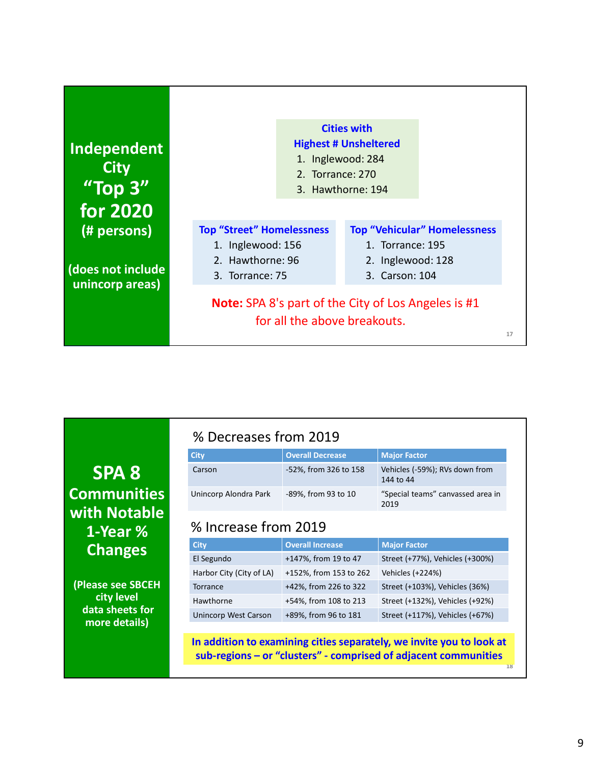|                                                                                                         | <b>Cities with</b><br><b>Highest # Unsheltered</b><br><b>Independent</b><br>1. Inglewood: 284<br><b>City</b><br>2. Torrance: 270<br>"Top 3"<br>3. Hawthorne: 194<br><b>for 2020</b><br><b>Top "Street" Homelessness</b><br><b>Top "Vehicular" Homelessness</b><br>(# persons)<br>1. Inglewood: 156<br>1. Torrance: 195<br>2. Hawthorne: 96<br>2. Inglewood: 128<br>(does not include<br>3. Torrance: 75<br>3. Carson: 104<br>unincorp areas)<br>Note: SPA 8's part of the City of Los Angeles is #1<br>for all the above breakouts.<br>17 | % Decreases from 2019 | <b>Overall Decrease</b><br><b>Major Factor</b><br><b>City</b><br>Carson |                |             |                         |      |                                 |
|---------------------------------------------------------------------------------------------------------|-------------------------------------------------------------------------------------------------------------------------------------------------------------------------------------------------------------------------------------------------------------------------------------------------------------------------------------------------------------------------------------------------------------------------------------------------------------------------------------------------------------------------------------------|-----------------------|-------------------------------------------------------------------------|----------------|-------------|-------------------------|------|---------------------------------|
|                                                                                                         |                                                                                                                                                                                                                                                                                                                                                                                                                                                                                                                                           |                       |                                                                         |                |             |                         |      |                                 |
| -52%, from 326 to 158<br>Vehicles (-59%); RVs down from<br>SPA <sub>8</sub><br>144 to 44                |                                                                                                                                                                                                                                                                                                                                                                                                                                                                                                                                           |                       |                                                                         | with Notable   |             |                         | 2019 |                                 |
| <b>Communities</b><br>Unincorp Alondra Park<br>-89%, from 93 to 10<br>"Special teams" canvassed area in |                                                                                                                                                                                                                                                                                                                                                                                                                                                                                                                                           |                       |                                                                         |                |             |                         |      |                                 |
| % Increase from 2019                                                                                    |                                                                                                                                                                                                                                                                                                                                                                                                                                                                                                                                           |                       |                                                                         |                | <b>City</b> | <b>Overall Increase</b> |      |                                 |
| 1-Year %<br><b>Major Factor</b>                                                                         |                                                                                                                                                                                                                                                                                                                                                                                                                                                                                                                                           |                       |                                                                         | <b>Changes</b> | El Segundo  | +147%, from 19 to 47    |      | Street (+77%), Vehicles (+300%) |

| <b>SPA 8</b>       | Carson               |
|--------------------|----------------------|
| <b>Communities</b> | Unincorp Alondra Par |
| with Notable       |                      |
| 1-Year %           | % Increase f         |
| <b>Changes</b>     | <b>City</b>          |
|                    | El Segundo           |

(Please see SBCEH city level data sheets for more details)

### % Decreases from 2019

| <b>City</b>           | <b>Overall Decrease</b> | <b>Major Factor</b>                         |  |
|-----------------------|-------------------------|---------------------------------------------|--|
| Carson                | -52%, from 326 to 158   | Vehicles (-59%); RVs down from<br>144 to 44 |  |
| Unincorp Alondra Park | -89%, from 93 to 10     | "Special teams" canvassed area in<br>2019   |  |

## 1-Year % % Increase from 2019

|                                                                      | for all the above breakouts. | <b>Note:</b> SPA 81s part of the City of Los Angeles is #1      |
|----------------------------------------------------------------------|------------------------------|-----------------------------------------------------------------|
|                                                                      |                              |                                                                 |
| % Decreases from 2019                                                |                              |                                                                 |
| <b>City</b>                                                          | <b>Overall Decrease</b>      | <b>Major Factor</b>                                             |
| Carson                                                               | -52%, from 326 to 158        | Vehicles (-59%); RVs down from<br>144 to 44                     |
| Unincorp Alondra Park                                                | -89%, from 93 to 10          | "Special teams" canvassed area in<br>2019                       |
| % Increase from 2019                                                 |                              |                                                                 |
| <b>City</b>                                                          | <b>Overall Increase</b>      | <b>Major Factor</b>                                             |
| El Segundo                                                           | +147%, from 19 to 47         | Street (+77%), Vehicles (+300%)                                 |
| Harbor City (City of LA)                                             | +152%, from 153 to 262       | Vehicles (+224%)                                                |
| Torrance                                                             | +42%, from 226 to 322        | Street (+103%), Vehicles (36%)                                  |
| Hawthorne                                                            | +54%, from 108 to 213        | Street (+132%), Vehicles (+92%)                                 |
| <b>Unincorp West Carson</b>                                          | +89%, from 96 to 181         | Street (+117%), Vehicles (+67%)                                 |
|                                                                      |                              |                                                                 |
|                                                                      |                              |                                                                 |
| In addition to examining cities separately, we invite you to look at |                              | sub-regions - or "clusters" - comprised of adjacent communities |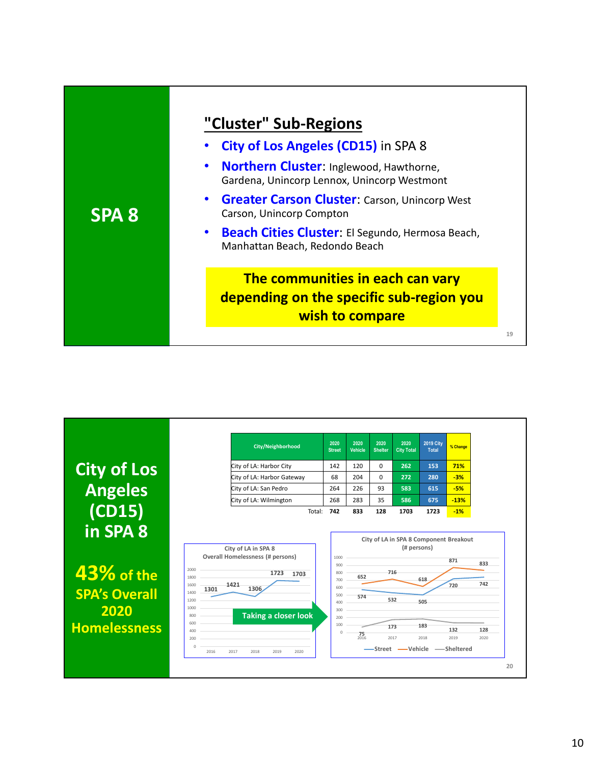| "Cluster" Sub-Regions                                                                               |
|-----------------------------------------------------------------------------------------------------|
| City of Los Angeles (CD15) in SPA 8                                                                 |
| Northern Cluster: Inglewood, Hawthorne,<br>$\bullet$<br>Gardena, Unincorp Lennox, Unincorp Westmont |
| <b>Greater Carson Cluster:</b> Carson, Unincorp West<br>$\bullet$<br>Carson, Unincorp Compton       |
| Beach Cities Cluster: El Segundo, Hermosa Beach,<br>$\bullet$<br>Manhattan Beach, Redondo Beach     |
| The communities in each can vary                                                                    |
|                                                                                                     |
| depending on the specific sub-region you<br>wish to compare                                         |
|                                                                                                     |

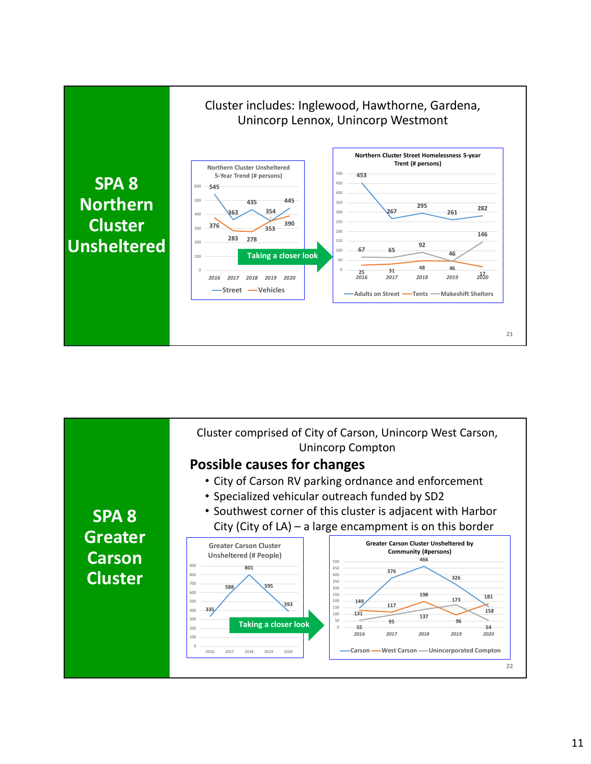

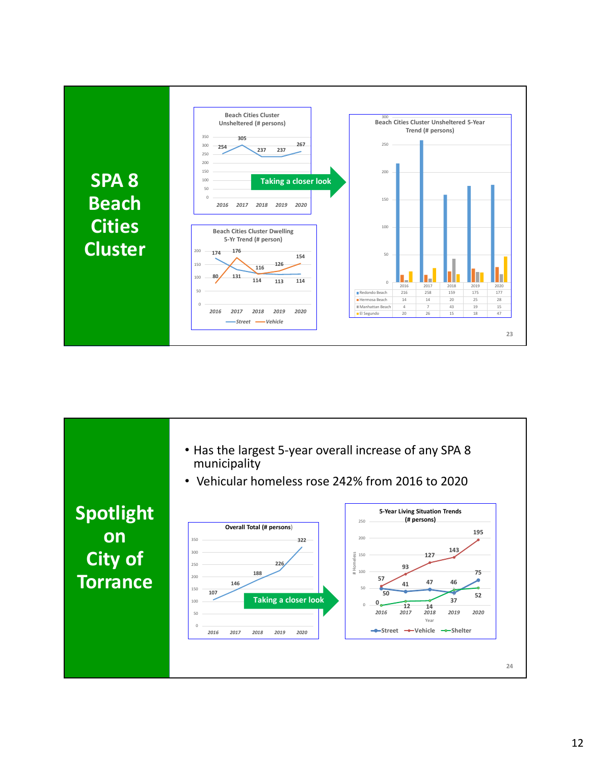